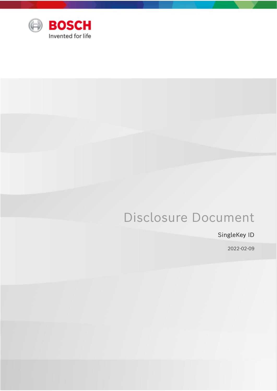

# Disclosure Document

## SingleKey ID

2022-02-09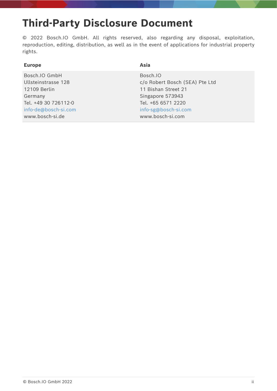# **Third-Party Disclosure Document**

© 2022 Bosch.IO GmbH. All rights reserved, also regarding any disposal, exploitation, reproduction, editing, distribution, as well as in the event of applications for industrial property rights.

| Asia<br><b>Europe</b> |                                |
|-----------------------|--------------------------------|
| Bosch.IO GmbH         | Bosch.IO                       |
| Ullsteinstrasse 128   | c/o Robert Bosch (SEA) Pte Ltd |
| 12109 Berlin          | 11 Bishan Street 21            |
| Germany               | Singapore 573943               |
| Tel. +49 30 726112-0  | Tel. +65 6571 2220             |
| info-de@bosch-si.com  | info-sg@bosch-si.com           |
| www.bosch-si.de       | www.bosch-si.com               |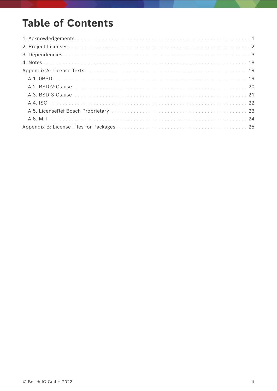# **Table of Contents**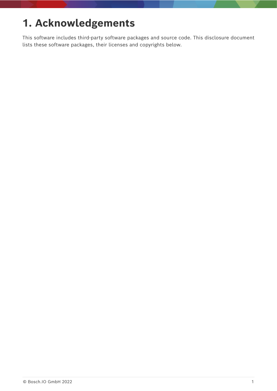# <span id="page-3-0"></span>**1. Acknowledgements**

This software includes third-party software packages and source code. This disclosure document lists these software packages, their licenses and copyrights below.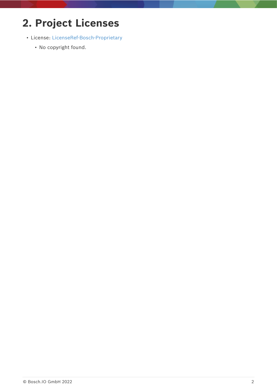# <span id="page-4-0"></span>**2. Project Licenses**

- License: [LicenseRef-Bosch-Proprietary](#page-25-0)
	- No copyright found.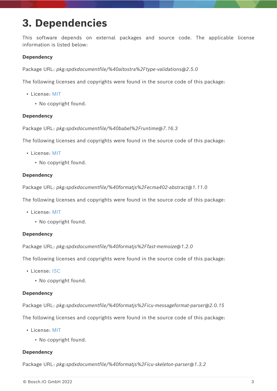# <span id="page-5-0"></span>**3. Dependencies**

This software depends on external packages and source code. The applicable license information is listed below:

### **Dependency**

Package URL: *pkg:spdxdocumentfile/%40altostra%2Ftype-validations@2.5.0*

The following licenses and copyrights were found in the source code of this package:

- License: [MIT](#page-26-0)
	- No copyright found.

#### **Dependency**

Package URL: *pkg:spdxdocumentfile/%40babel%2Fruntime@7.16.3*

The following licenses and copyrights were found in the source code of this package:

- License: [MIT](#page-26-0)
	- No copyright found.

#### **Dependency**

Package URL: *pkg:spdxdocumentfile/%40formatjs%2Fecma402-abstract@1.11.0*

The following licenses and copyrights were found in the source code of this package:

- License: [MIT](#page-26-0)
	- No copyright found.

#### **Dependency**

Package URL: *pkg:spdxdocumentfile/%40formatjs%2Ffast-memoize@1.2.0*

The following licenses and copyrights were found in the source code of this package:

- License: [ISC](#page-24-0)
	- No copyright found.

#### **Dependency**

Package URL: *pkg:spdxdocumentfile/%40formatjs%2Ficu-messageformat-parser@2.0.15*

The following licenses and copyrights were found in the source code of this package:

- License: [MIT](#page-26-0)
	- No copyright found.

#### **Dependency**

Package URL: *pkg:spdxdocumentfile/%40formatjs%2Ficu-skeleton-parser@1.3.2*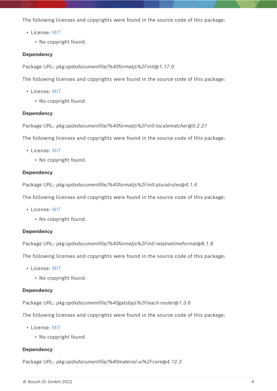- License: [MIT](#page-26-0)
	- No copyright found.

### **Dependency**

Package URL: *pkg:spdxdocumentfile/%40formatjs%2Fintl@1.17.0*

The following licenses and copyrights were found in the source code of this package:

- License: [MIT](#page-26-0)
	- No copyright found.

#### **Dependency**

Package URL: *pkg:spdxdocumentfile/%40formatjs%2Fintl-localematcher@0.2.21*

The following licenses and copyrights were found in the source code of this package:

- License: [MIT](#page-26-0)
	- No copyright found.

#### **Dependency**

Package URL: *pkg:spdxdocumentfile/%40formatjs%2Fintl-pluralrules@4.1.6*

The following licenses and copyrights were found in the source code of this package:

- License: [MIT](#page-26-0)
	- No copyright found.

#### **Dependency**

Package URL: *pkg:spdxdocumentfile/%40formatjs%2Fintl-relativetimeformat@8.1.8*

The following licenses and copyrights were found in the source code of this package:

- License: [MIT](#page-26-0)
	- No copyright found.

#### **Dependency**

Package URL: *pkg:spdxdocumentfile/%40gatsbyjs%2Freach-router@1.3.6*

The following licenses and copyrights were found in the source code of this package:

- License: [MIT](#page-26-0)
	- No copyright found.

### **Dependency**

Package URL: *pkg:spdxdocumentfile/%40material-ui%2Fcore@4.12.3*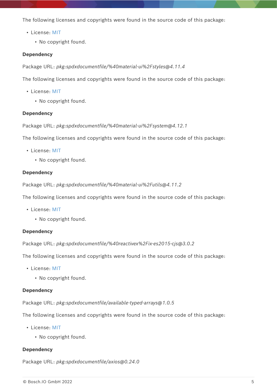- License: [MIT](#page-26-0)
	- No copyright found.

### **Dependency**

Package URL: *pkg:spdxdocumentfile/%40material-ui%2Fstyles@4.11.4*

The following licenses and copyrights were found in the source code of this package:

- License: [MIT](#page-26-0)
	- No copyright found.

#### **Dependency**

Package URL: *pkg:spdxdocumentfile/%40material-ui%2Fsystem@4.12.1*

The following licenses and copyrights were found in the source code of this package:

- License: [MIT](#page-26-0)
	- No copyright found.

#### **Dependency**

Package URL: *pkg:spdxdocumentfile/%40material-ui%2Futils@4.11.2*

The following licenses and copyrights were found in the source code of this package:

- License: [MIT](#page-26-0)
	- No copyright found.

#### **Dependency**

Package URL: *pkg:spdxdocumentfile/%40reactivex%2Fix-es2015-cjs@3.0.2*

The following licenses and copyrights were found in the source code of this package:

- License: [MIT](#page-26-0)
	- No copyright found.

#### **Dependency**

Package URL: *pkg:spdxdocumentfile/available-typed-arrays@1.0.5*

The following licenses and copyrights were found in the source code of this package:

- License: [MIT](#page-26-0)
	- No copyright found.

#### **Dependency**

Package URL: *pkg:spdxdocumentfile/axios@0.24.0*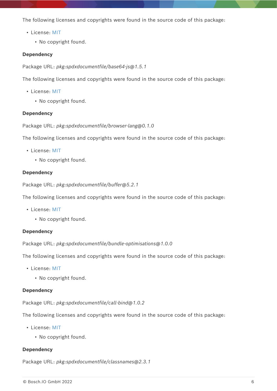- License: [MIT](#page-26-0)
	- No copyright found.

#### **Dependency**

Package URL: *pkg:spdxdocumentfile/base64-js@1.5.1*

The following licenses and copyrights were found in the source code of this package:

- License: [MIT](#page-26-0)
	- No copyright found.

#### **Dependency**

Package URL: *pkg:spdxdocumentfile/browser-lang@0.1.0*

The following licenses and copyrights were found in the source code of this package:

- License: [MIT](#page-26-0)
	- No copyright found.

#### **Dependency**

Package URL: *pkg:spdxdocumentfile/buffer@5.2.1*

The following licenses and copyrights were found in the source code of this package:

- License: [MIT](#page-26-0)
	- No copyright found.

#### **Dependency**

Package URL: *pkg:spdxdocumentfile/bundle-optimisations@1.0.0*

The following licenses and copyrights were found in the source code of this package:

- License: [MIT](#page-26-0)
	- No copyright found.

#### **Dependency**

Package URL: *pkg:spdxdocumentfile/call-bind@1.0.2*

The following licenses and copyrights were found in the source code of this package:

- License: [MIT](#page-26-0)
	- No copyright found.

#### **Dependency**

Package URL: *pkg:spdxdocumentfile/classnames@2.3.1*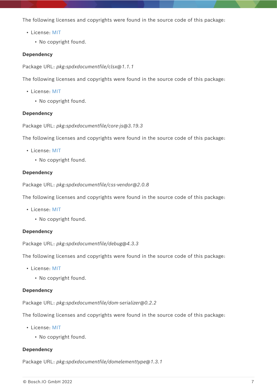- License: [MIT](#page-26-0)
	- No copyright found.

### **Dependency**

Package URL: *pkg:spdxdocumentfile/clsx@1.1.1*

The following licenses and copyrights were found in the source code of this package:

- License: [MIT](#page-26-0)
	- No copyright found.

### **Dependency**

Package URL: *pkg:spdxdocumentfile/core-js@3.19.3*

The following licenses and copyrights were found in the source code of this package:

- License: [MIT](#page-26-0)
	- No copyright found.

#### **Dependency**

Package URL: *pkg:spdxdocumentfile/css-vendor@2.0.8*

The following licenses and copyrights were found in the source code of this package:

- License: [MIT](#page-26-0)
	- No copyright found.

#### **Dependency**

Package URL: *pkg:spdxdocumentfile/debug@4.3.3*

The following licenses and copyrights were found in the source code of this package:

- License: [MIT](#page-26-0)
	- No copyright found.

#### **Dependency**

Package URL: *pkg:spdxdocumentfile/dom-serializer@0.2.2*

The following licenses and copyrights were found in the source code of this package:

- License: [MIT](#page-26-0)
	- No copyright found.

#### **Dependency**

Package URL: *pkg:spdxdocumentfile/domelementtype@1.3.1*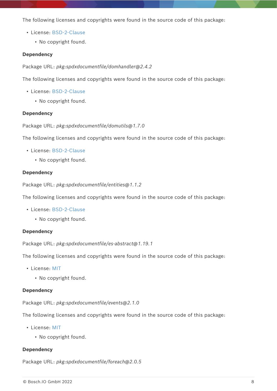- License: [BSD-2-Clause](#page-22-0)
	- No copyright found.

#### **Dependency**

Package URL: *pkg:spdxdocumentfile/domhandler@2.4.2*

The following licenses and copyrights were found in the source code of this package:

- License: [BSD-2-Clause](#page-22-0)
	- No copyright found.

#### **Dependency**

Package URL: *pkg:spdxdocumentfile/domutils@1.7.0*

The following licenses and copyrights were found in the source code of this package:

- License: [BSD-2-Clause](#page-22-0)
	- No copyright found.

#### **Dependency**

Package URL: *pkg:spdxdocumentfile/entities@1.1.2*

The following licenses and copyrights were found in the source code of this package:

- License: [BSD-2-Clause](#page-22-0)
	- No copyright found.

#### **Dependency**

Package URL: *pkg:spdxdocumentfile/es-abstract@1.19.1*

The following licenses and copyrights were found in the source code of this package:

- License: [MIT](#page-26-0)
	- No copyright found.

#### **Dependency**

Package URL: *pkg:spdxdocumentfile/events@2.1.0*

The following licenses and copyrights were found in the source code of this package:

- License: [MIT](#page-26-0)
	- No copyright found.

#### **Dependency**

Package URL: *pkg:spdxdocumentfile/foreach@2.0.5*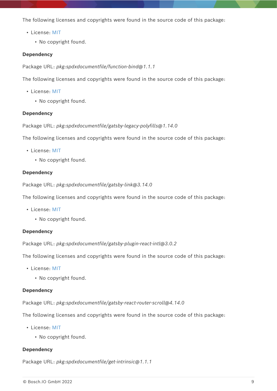- License: [MIT](#page-26-0)
	- No copyright found.

#### **Dependency**

Package URL: *pkg:spdxdocumentfile/function-bind@1.1.1*

The following licenses and copyrights were found in the source code of this package:

- License: [MIT](#page-26-0)
	- No copyright found.

#### **Dependency**

Package URL: *pkg:spdxdocumentfile/gatsby-legacy-polyfills@1.14.0*

The following licenses and copyrights were found in the source code of this package:

- License: [MIT](#page-26-0)
	- No copyright found.

#### **Dependency**

Package URL: *pkg:spdxdocumentfile/gatsby-link@3.14.0*

The following licenses and copyrights were found in the source code of this package:

- License: [MIT](#page-26-0)
	- No copyright found.

#### **Dependency**

Package URL: *pkg:spdxdocumentfile/gatsby-plugin-react-intl@3.0.2*

The following licenses and copyrights were found in the source code of this package:

- License: [MIT](#page-26-0)
	- No copyright found.

#### **Dependency**

Package URL: *pkg:spdxdocumentfile/gatsby-react-router-scroll@4.14.0*

The following licenses and copyrights were found in the source code of this package:

- License: [MIT](#page-26-0)
	- No copyright found.

#### **Dependency**

Package URL: *pkg:spdxdocumentfile/get-intrinsic@1.1.1*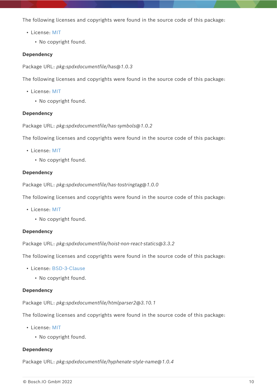- License: [MIT](#page-26-0)
	- No copyright found.

#### **Dependency**

Package URL: *pkg:spdxdocumentfile/has@1.0.3*

The following licenses and copyrights were found in the source code of this package:

- License: [MIT](#page-26-0)
	- No copyright found.

#### **Dependency**

Package URL: *pkg:spdxdocumentfile/has-symbols@1.0.2*

The following licenses and copyrights were found in the source code of this package:

- License: [MIT](#page-26-0)
	- No copyright found.

#### **Dependency**

Package URL: *pkg:spdxdocumentfile/has-tostringtag@1.0.0*

The following licenses and copyrights were found in the source code of this package:

- License: [MIT](#page-26-0)
	- No copyright found.

#### **Dependency**

Package URL: *pkg:spdxdocumentfile/hoist-non-react-statics@3.3.2*

The following licenses and copyrights were found in the source code of this package:

- License: [BSD-3-Clause](#page-23-0)
	- No copyright found.

#### **Dependency**

Package URL: *pkg:spdxdocumentfile/htmlparser2@3.10.1*

The following licenses and copyrights were found in the source code of this package:

- License: [MIT](#page-26-0)
	- No copyright found.

#### **Dependency**

Package URL: *pkg:spdxdocumentfile/hyphenate-style-name@1.0.4*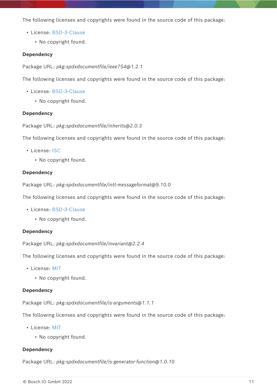- License: [BSD-3-Clause](#page-23-0)
	- No copyright found.

#### **Dependency**

Package URL: *pkg:spdxdocumentfile/ieee754@1.2.1*

The following licenses and copyrights were found in the source code of this package:

- License: [BSD-3-Clause](#page-23-0)
	- No copyright found.

#### **Dependency**

Package URL: *pkg:spdxdocumentfile/inherits@2.0.3*

The following licenses and copyrights were found in the source code of this package:

- License: [ISC](#page-24-0)
	- No copyright found.

#### **Dependency**

Package URL: *pkg:spdxdocumentfile/intl-messageformat@9.10.0*

The following licenses and copyrights were found in the source code of this package:

- License: [BSD-3-Clause](#page-23-0)
	- No copyright found.

#### **Dependency**

Package URL: *pkg:spdxdocumentfile/invariant@2.2.4*

The following licenses and copyrights were found in the source code of this package:

- License: [MIT](#page-26-0)
	- No copyright found.

#### **Dependency**

Package URL: *pkg:spdxdocumentfile/is-arguments@1.1.1*

The following licenses and copyrights were found in the source code of this package:

- License: [MIT](#page-26-0)
	- No copyright found.

#### **Dependency**

Package URL: *pkg:spdxdocumentfile/is-generator-function@1.0.10*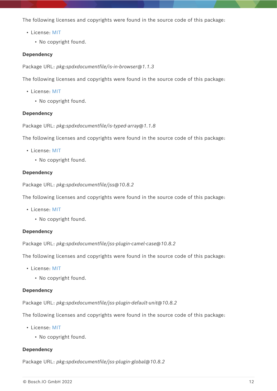- License: [MIT](#page-26-0)
	- No copyright found.

#### **Dependency**

Package URL: *pkg:spdxdocumentfile/is-in-browser@1.1.3*

The following licenses and copyrights were found in the source code of this package:

- License: [MIT](#page-26-0)
	- No copyright found.

#### **Dependency**

Package URL: *pkg:spdxdocumentfile/is-typed-array@1.1.8*

The following licenses and copyrights were found in the source code of this package:

- License: [MIT](#page-26-0)
	- No copyright found.

#### **Dependency**

Package URL: *pkg:spdxdocumentfile/jss@10.8.2*

The following licenses and copyrights were found in the source code of this package:

- License: [MIT](#page-26-0)
	- No copyright found.

#### **Dependency**

Package URL: *pkg:spdxdocumentfile/jss-plugin-camel-case@10.8.2*

The following licenses and copyrights were found in the source code of this package:

- License: [MIT](#page-26-0)
	- No copyright found.

#### **Dependency**

Package URL: *pkg:spdxdocumentfile/jss-plugin-default-unit@10.8.2*

The following licenses and copyrights were found in the source code of this package:

- License: [MIT](#page-26-0)
	- No copyright found.

#### **Dependency**

Package URL: *pkg:spdxdocumentfile/jss-plugin-global@10.8.2*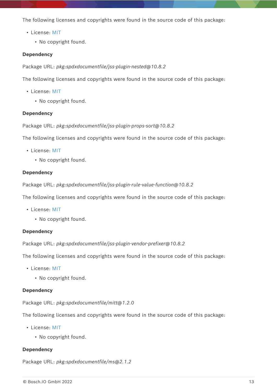- License: [MIT](#page-26-0)
	- No copyright found.

#### **Dependency**

Package URL: *pkg:spdxdocumentfile/jss-plugin-nested@10.8.2*

The following licenses and copyrights were found in the source code of this package:

- License: [MIT](#page-26-0)
	- No copyright found.

#### **Dependency**

Package URL: *pkg:spdxdocumentfile/jss-plugin-props-sort@10.8.2*

The following licenses and copyrights were found in the source code of this package:

- License: [MIT](#page-26-0)
	- No copyright found.

#### **Dependency**

Package URL: *pkg:spdxdocumentfile/jss-plugin-rule-value-function@10.8.2*

The following licenses and copyrights were found in the source code of this package:

- License: [MIT](#page-26-0)
	- No copyright found.

#### **Dependency**

Package URL: *pkg:spdxdocumentfile/jss-plugin-vendor-prefixer@10.8.2*

The following licenses and copyrights were found in the source code of this package:

- License: [MIT](#page-26-0)
	- No copyright found.

#### **Dependency**

Package URL: *pkg:spdxdocumentfile/mitt@1.2.0*

The following licenses and copyrights were found in the source code of this package:

- License: [MIT](#page-26-0)
	- No copyright found.

#### **Dependency**

Package URL: *pkg:spdxdocumentfile/ms@2.1.2*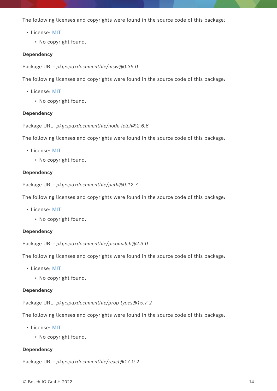- License: [MIT](#page-26-0)
	- No copyright found.

#### **Dependency**

Package URL: *pkg:spdxdocumentfile/msw@0.35.0*

The following licenses and copyrights were found in the source code of this package:

- License: [MIT](#page-26-0)
	- No copyright found.

#### **Dependency**

Package URL: *pkg:spdxdocumentfile/node-fetch@2.6.6*

The following licenses and copyrights were found in the source code of this package:

- License: [MIT](#page-26-0)
	- No copyright found.

#### **Dependency**

Package URL: *pkg:spdxdocumentfile/path@0.12.7*

The following licenses and copyrights were found in the source code of this package:

- License: [MIT](#page-26-0)
	- No copyright found.

#### **Dependency**

Package URL: *pkg:spdxdocumentfile/picomatch@2.3.0*

The following licenses and copyrights were found in the source code of this package:

- License: [MIT](#page-26-0)
	- No copyright found.

#### **Dependency**

Package URL: *pkg:spdxdocumentfile/prop-types@15.7.2*

The following licenses and copyrights were found in the source code of this package:

- License: [MIT](#page-26-0)
	- No copyright found.

#### **Dependency**

Package URL: *pkg:spdxdocumentfile/react@17.0.2*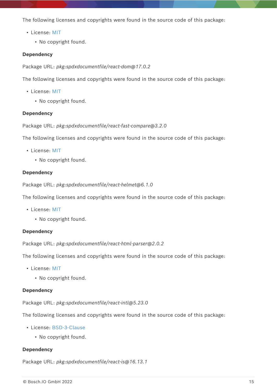- License: [MIT](#page-26-0)
	- No copyright found.

#### **Dependency**

Package URL: *pkg:spdxdocumentfile/react-dom@17.0.2*

The following licenses and copyrights were found in the source code of this package:

- License: [MIT](#page-26-0)
	- No copyright found.

#### **Dependency**

Package URL: *pkg:spdxdocumentfile/react-fast-compare@3.2.0*

The following licenses and copyrights were found in the source code of this package:

- License: [MIT](#page-26-0)
	- No copyright found.

#### **Dependency**

Package URL: *pkg:spdxdocumentfile/react-helmet@6.1.0*

The following licenses and copyrights were found in the source code of this package:

- License: [MIT](#page-26-0)
	- No copyright found.

#### **Dependency**

Package URL: *pkg:spdxdocumentfile/react-html-parser@2.0.2*

The following licenses and copyrights were found in the source code of this package:

- License: [MIT](#page-26-0)
	- No copyright found.

#### **Dependency**

Package URL: *pkg:spdxdocumentfile/react-intl@5.23.0*

The following licenses and copyrights were found in the source code of this package:

- License: [BSD-3-Clause](#page-23-0)
	- No copyright found.

#### **Dependency**

Package URL: *pkg:spdxdocumentfile/react-is@16.13.1*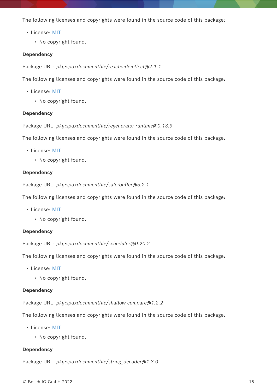- License: [MIT](#page-26-0)
	- No copyright found.

#### **Dependency**

Package URL: *pkg:spdxdocumentfile/react-side-effect@2.1.1*

The following licenses and copyrights were found in the source code of this package:

- License: [MIT](#page-26-0)
	- No copyright found.

#### **Dependency**

Package URL: *pkg:spdxdocumentfile/regenerator-runtime@0.13.9*

The following licenses and copyrights were found in the source code of this package:

- License: [MIT](#page-26-0)
	- No copyright found.

#### **Dependency**

Package URL: *pkg:spdxdocumentfile/safe-buffer@5.2.1*

The following licenses and copyrights were found in the source code of this package:

- License: [MIT](#page-26-0)
	- No copyright found.

#### **Dependency**

Package URL: *pkg:spdxdocumentfile/scheduler@0.20.2*

The following licenses and copyrights were found in the source code of this package:

- License: [MIT](#page-26-0)
	- No copyright found.

#### **Dependency**

Package URL: *pkg:spdxdocumentfile/shallow-compare@1.2.2*

The following licenses and copyrights were found in the source code of this package:

- License: [MIT](#page-26-0)
	- No copyright found.

#### **Dependency**

Package URL: *pkg:spdxdocumentfile/string\_decoder@1.3.0*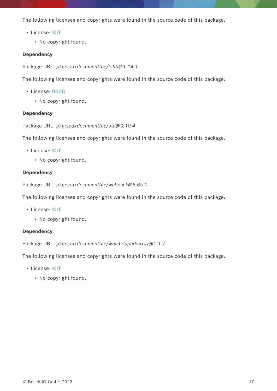- License: [MIT](#page-26-0)
	- No copyright found.

### **Dependency**

Package URL: *pkg:spdxdocumentfile/tslib@1.14.1*

The following licenses and copyrights were found in the source code of this package:

- License: [0BSD](#page-21-1)
	- No copyright found.

### **Dependency**

Package URL: *pkg:spdxdocumentfile/util@0.10.4*

The following licenses and copyrights were found in the source code of this package:

- License: [MIT](#page-26-0)
	- No copyright found.

### **Dependency**

Package URL: *pkg:spdxdocumentfile/webpack@5.65.0*

The following licenses and copyrights were found in the source code of this package:

- License: [MIT](#page-26-0)
	- No copyright found.

### **Dependency**

Package URL: *pkg:spdxdocumentfile/which-typed-array@1.1.7*

The following licenses and copyrights were found in the source code of this package:

- License: [MIT](#page-26-0)
	- No copyright found.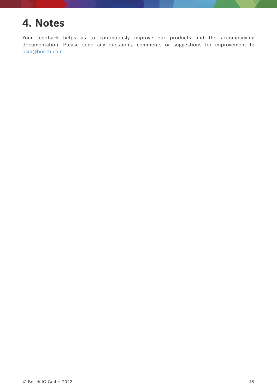# <span id="page-20-0"></span>**4. Notes**

Your feedback helps us to continuously improve our products and the accompanying documentation. Please send any questions, comments or suggestions for improvement to [osm@bosch.com.](mailto:osm@bosch.com)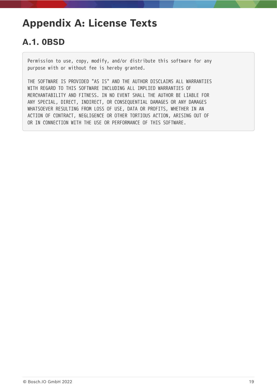# <span id="page-21-0"></span>**Appendix A: License Texts**

## <span id="page-21-1"></span>**A.1. 0BSD**

Permission to use, copy, modify, and/or distribute this software for any purpose with or without fee is hereby granted.

THE SOFTWARE IS PROVIDED "AS IS" AND THE AUTHOR DISCLAIMS ALL WARRANTIES WITH REGARD TO THIS SOFTWARE INCLUDING ALL IMPLIED WARRANTIES OF MERCHANTABILITY AND FITNESS. IN NO EVENT SHALL THE AUTHOR BE LIABLE FOR ANY SPECIAL, DIRECT, INDIRECT, OR CONSEQUENTIAL DAMAGES OR ANY DAMAGES WHATSOEVER RESULTING FROM LOSS OF USE, DATA OR PROFITS, WHETHER IN AN ACTION OF CONTRACT, NEGLIGENCE OR OTHER TORTIOUS ACTION, ARISING OUT OF OR IN CONNECTION WITH THE USE OR PERFORMANCE OF THIS SOFTWARE.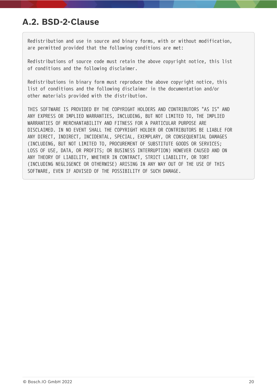## <span id="page-22-0"></span>**A.2. BSD-2-Clause**

Redistribution and use in source and binary forms, with or without modification, are permitted provided that the following conditions are met:

Redistributions of source code must retain the above copyright notice, this list of conditions and the following disclaimer.

Redistributions in binary form must reproduce the above copyright notice, this list of conditions and the following disclaimer in the documentation and/or other materials provided with the distribution.

THIS SOFTWARE IS PROVIDED BY THE COPYRIGHT HOLDERS AND CONTRIBUTORS "AS IS" AND ANY EXPRESS OR IMPLIED WARRANTIES, INCLUDING, BUT NOT LIMITED TO, THE IMPLIED WARRANTIES OF MERCHANTABILITY AND FITNESS FOR A PARTICULAR PURPOSE ARE DISCLAIMED. IN NO EVENT SHALL THE COPYRIGHT HOLDER OR CONTRIBUTORS BE LIABLE FOR ANY DIRECT, INDIRECT, INCIDENTAL, SPECIAL, EXEMPLARY, OR CONSEQUENTIAL DAMAGES (INCLUDING, BUT NOT LIMITED TO, PROCUREMENT OF SUBSTITUTE GOODS OR SERVICES; LOSS OF USE, DATA, OR PROFITS; OR BUSINESS INTERRUPTION) HOWEVER CAUSED AND ON ANY THEORY OF LIABILITY, WHETHER IN CONTRACT, STRICT LIABILITY, OR TORT (INCLUDING NEGLIGENCE OR OTHERWISE) ARISING IN ANY WAY OUT OF THE USE OF THIS SOFTWARE, EVEN IF ADVISED OF THE POSSIBILITY OF SUCH DAMAGE.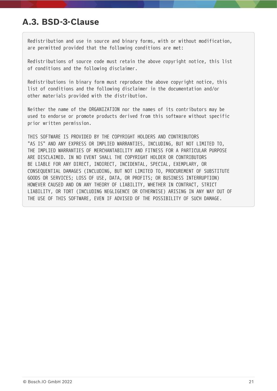## <span id="page-23-0"></span>**A.3. BSD-3-Clause**

Redistribution and use in source and binary forms, with or without modification, are permitted provided that the following conditions are met:

Redistributions of source code must retain the above copyright notice, this list of conditions and the following disclaimer.

Redistributions in binary form must reproduce the above copyright notice, this list of conditions and the following disclaimer in the documentation and/or other materials provided with the distribution.

Neither the name of the ORGANIZATION nor the names of its contributors may be used to endorse or promote products derived from this software without specific prior written permission.

THIS SOFTWARE IS PROVIDED BY THE COPYRIGHT HOLDERS AND CONTRIBUTORS "AS IS" AND ANY EXPRESS OR IMPLIED WARRANTIES, INCLUDING, BUT NOT LIMITED TO, THE IMPLIED WARRANTIES OF MERCHANTABILITY AND FITNESS FOR A PARTICULAR PURPOSE ARE DISCLAIMED. IN NO EVENT SHALL THE COPYRIGHT HOLDER OR CONTRIBUTORS BE LIABLE FOR ANY DIRECT, INDIRECT, INCIDENTAL, SPECIAL, EXEMPLARY, OR CONSEQUENTIAL DAMAGES (INCLUDING, BUT NOT LIMITED TO, PROCUREMENT OF SUBSTITUTE GOODS OR SERVICES; LOSS OF USE, DATA, OR PROFITS; OR BUSINESS INTERRUPTION) HOWEVER CAUSED AND ON ANY THEORY OF LIABILITY, WHETHER IN CONTRACT, STRICT LIABILITY, OR TORT (INCLUDING NEGLIGENCE OR OTHERWISE) ARISING IN ANY WAY OUT OF THE USE OF THIS SOFTWARE, EVEN IF ADVISED OF THE POSSIBILITY OF SUCH DAMAGE.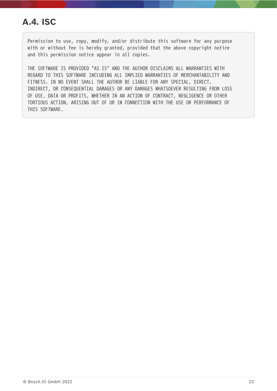## <span id="page-24-0"></span>**A.4. ISC**

Permission to use, copy, modify, and/or distribute this software for any purpose with or without fee is hereby granted, provided that the above copyright notice and this permission notice appear in all copies.

THE SOFTWARE IS PROVIDED "AS IS" AND THE AUTHOR DISCLAIMS ALL WARRANTIES WITH REGARD TO THIS SOFTWARE INCLUDING ALL IMPLIED WARRANTIES OF MERCHANTABILITY AND FITNESS. IN NO EVENT SHALL THE AUTHOR BE LIABLE FOR ANY SPECIAL, DIRECT, INDIRECT, OR CONSEQUENTIAL DAMAGES OR ANY DAMAGES WHATSOEVER RESULTING FROM LOSS OF USE, DATA OR PROFITS, WHETHER IN AN ACTION OF CONTRACT, NEGLIGENCE OR OTHER TORTIOUS ACTION, ARISING OUT OF OR IN CONNECTION WITH THE USE OR PERFORMANCE OF THIS SOFTWARE.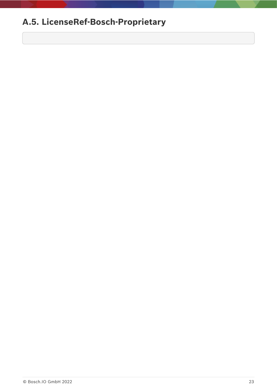# <span id="page-25-0"></span>**A.5. LicenseRef-Bosch-Proprietary**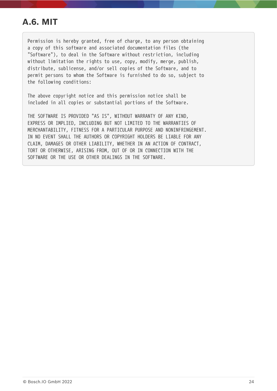## <span id="page-26-0"></span>**A.6. MIT**

Permission is hereby granted, free of charge, to any person obtaining a copy of this software and associated documentation files (the "Software"), to deal in the Software without restriction, including without limitation the rights to use, copy, modify, merge, publish, distribute, sublicense, and/or sell copies of the Software, and to permit persons to whom the Software is furnished to do so, subject to the following conditions:

The above copyright notice and this permission notice shall be included in all copies or substantial portions of the Software.

THE SOFTWARE IS PROVIDED "AS IS", WITHOUT WARRANTY OF ANY KIND, EXPRESS OR IMPLIED, INCLUDING BUT NOT LIMITED TO THE WARRANTIES OF MERCHANTABILITY, FITNESS FOR A PARTICULAR PURPOSE AND NONINFRINGEMENT. IN NO EVENT SHALL THE AUTHORS OR COPYRIGHT HOLDERS BE LIABLE FOR ANY CLAIM, DAMAGES OR OTHER LIABILITY, WHETHER IN AN ACTION OF CONTRACT, TORT OR OTHERWISE, ARISING FROM, OUT OF OR IN CONNECTION WITH THE SOFTWARE OR THE USE OR OTHER DEALINGS IN THE SOFTWARE.